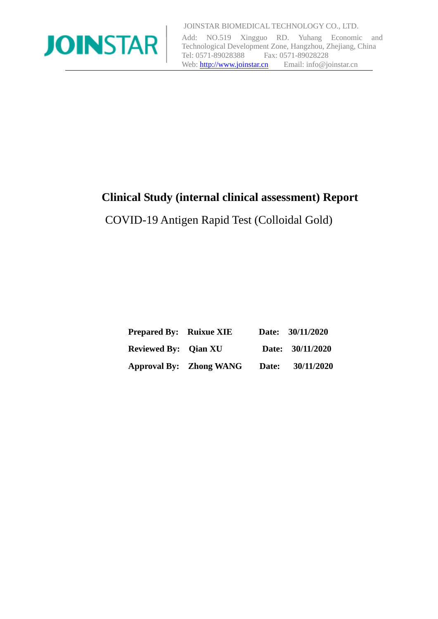

Add: NO.519 Xingguo RD. Yuhang Economic and Technological Development Zone, Hangzhou, Zhejiang, China<br>Tel: 0571-89028388 Fax: 0571-89028228 Fax: 0571-89028228 Web[: http://www.joinstar.cn](http://www.joinstar.cn/) Email: info@joinstar.cn

## **Clinical Study (internal clinical assessment) Report**

COVID-19 Antigen Rapid Test (Colloidal Gold)

| <b>Prepared By:</b> Ruixue XIE |                                |       | Date: 30/11/2020 |
|--------------------------------|--------------------------------|-------|------------------|
| <b>Reviewed By:</b> Qian XU    |                                |       | Date: 30/11/2020 |
|                                | <b>Approval By:</b> Zhong WANG | Date: | 30/11/2020       |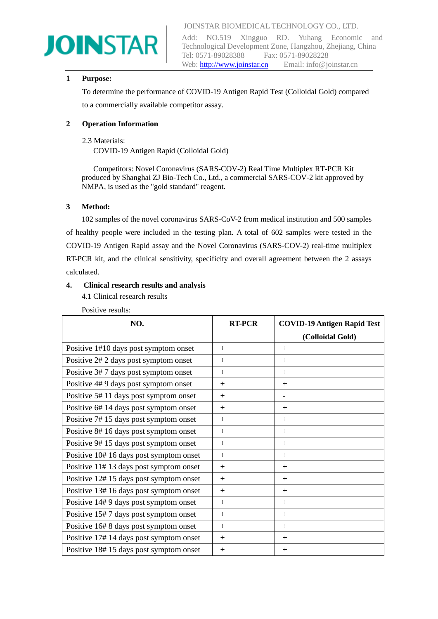# **JOINSTAR**

JOINSTAR BIOMEDICAL TECHNOLOGY CO., LTD.

Add: NO.519 Xingguo RD. Yuhang Economic and Technological Development Zone, Hangzhou, Zhejiang, China Tel: 0571-89028388 Fax: 0571-89028228 Web[: http://www.joinstar.cn](http://www.joinstar.cn/) Email: info@joinstar.cn

#### **1 Purpose:**

To determine the performance of COVID-19 Antigen Rapid Test (Colloidal Gold) compared to a commercially available competitor assay.

#### **2 Operation Information**

#### 2.3 Materials:

COVID-19 Antigen Rapid (Colloidal Gold)

 Competitors: Novel Coronavirus (SARS-COV-2) Real Time Multiplex RT-PCR Kit produced by Shanghai ZJ Bio-Tech Co., Ltd., a commercial SARS-COV-2 kit approved by NMPA, is used as the "gold standard" reagent.

#### **3 Method:**

102 samples of the novel coronavirus SARS-CoV-2 from medical institution and 500 samples of healthy people were included in the testing plan. A total of 602 samples were tested in the COVID-19 Antigen Rapid assay and the Novel Coronavirus (SARS-COV-2) real-time multiplex RT-PCR kit, and the clinical sensitivity, specificity and overall agreement between the 2 assays calculated.

#### **4. Clinical research results and analysis**

4.1 Clinical research results

Positive results:

| NO.                                     | <b>RT-PCR</b> | <b>COVID-19 Antigen Rapid Test</b> |
|-----------------------------------------|---------------|------------------------------------|
|                                         |               | (Colloidal Gold)                   |
| Positive 1#10 days post symptom onset   | $+$           | $+$                                |
| Positive 2# 2 days post symptom onset   | $+$           | $+$                                |
| Positive 3#7 days post symptom onset    | $+$           | $+$                                |
| Positive 4#9 days post symptom onset    | $+$           | $+$                                |
| Positive 5#11 days post symptom onset   | $+$           | $\overline{\phantom{0}}$           |
| Positive 6#14 days post symptom onset   | $+$           | $+$                                |
| Positive 7#15 days post symptom onset   | $+$           | $+$                                |
| Positive 8#16 days post symptom onset   | $+$           | $+$                                |
| Positive 9#15 days post symptom onset   | $+$           | $+$                                |
| Positive 10# 16 days post symptom onset | $+$           | $+$                                |
| Positive 11#13 days post symptom onset  | $+$           | $+$                                |
| Positive 12#15 days post symptom onset  | $+$           | $+$                                |
| Positive 13#16 days post symptom onset  | $+$           | $+$                                |
| Positive 14# 9 days post symptom onset  | $+$           | $+$                                |
| Positive 15#7 days post symptom onset   | $+$           | $+$                                |
| Positive 16# 8 days post symptom onset  | $+$           | $+$                                |
| Positive 17#14 days post symptom onset  | $+$           | $+$                                |
| Positive 18#15 days post symptom onset  | $+$           | $\pm$                              |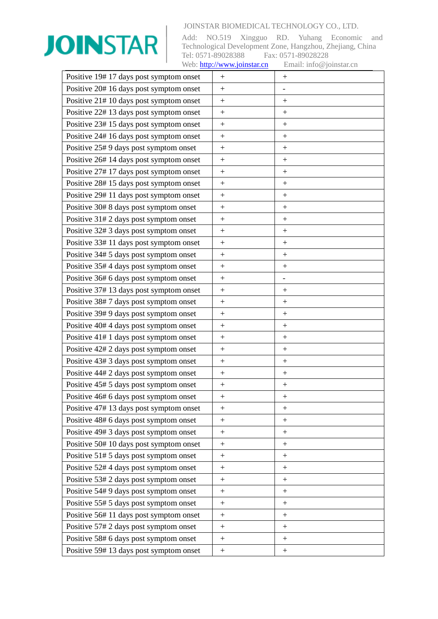

| Positive 19#17 days post symptom onset  | $+$              | $+$                      |
|-----------------------------------------|------------------|--------------------------|
| Positive 20# 16 days post symptom onset | $+$              | $\overline{\phantom{0}}$ |
| Positive 21#10 days post symptom onset  | $+$              | $^{+}$                   |
| Positive 22# 13 days post symptom onset | $+$              | $+$                      |
| Positive 23#15 days post symptom onset  | $\ddot{}$        | $^{+}$                   |
| Positive 24# 16 days post symptom onset | $+$              | $^{+}$                   |
| Positive 25# 9 days post symptom onset  | $+$              | $+$                      |
| Positive 26#14 days post symptom onset  | $\boldsymbol{+}$ | $\boldsymbol{+}$         |
| Positive 27#17 days post symptom onset  | $+$              | $+$                      |
| Positive 28#15 days post symptom onset  | $+$              | $\boldsymbol{+}$         |
| Positive 29#11 days post symptom onset  | $\boldsymbol{+}$ |                          |
| Positive 30# 8 days post symptom onset  | $^{+}$           | $^{+}$                   |
| Positive 31# 2 days post symptom onset  | $+$              | $^{+}$                   |
| Positive 32# 3 days post symptom onset  | $\boldsymbol{+}$ |                          |
| Positive 33#11 days post symptom onset  | $^{+}$           | $^{+}$                   |
| Positive 34# 5 days post symptom onset  | $+$              | $^{+}$                   |
| Positive 35# 4 days post symptom onset  | $+$              | $^{+}$                   |
| Positive 36# 6 days post symptom onset  | $\ddot{}$        |                          |
| Positive 37#13 days post symptom onset  | $\ddot{}$        | $^{+}$                   |
| Positive 38#7 days post symptom onset   | $\boldsymbol{+}$ | $\boldsymbol{+}$         |
| Positive 39# 9 days post symptom onset  | $+$              | $^{+}$                   |
| Positive 40# 4 days post symptom onset  | $+$              | $^{+}$                   |
| Positive 41# 1 days post symptom onset  | $^{+}$           | $\boldsymbol{+}$         |
| Positive 42# 2 days post symptom onset  | $\boldsymbol{+}$ | $\boldsymbol{+}$         |
| Positive 43# 3 days post symptom onset  | $^{+}$           |                          |
| Positive 44# 2 days post symptom onset  | $\boldsymbol{+}$ | $+$                      |
| Positive 45# 5 days post symptom onset  | $\boldsymbol{+}$ |                          |
| Positive 46# 6 days post symptom onset  | $^{+}$           | $\hspace{0.1mm} +$       |
| Positive 47#13 days post symptom onset  | $+$              | $\boldsymbol{+}$         |
| Positive 48# 6 days post symptom onset  | $\boldsymbol{+}$ |                          |
| Positive 49# 3 days post symptom onset  | $+$              |                          |
| Positive 50# 10 days post symptom onset | $+$              | $\boldsymbol{+}$         |
| Positive 51# 5 days post symptom onset  | $^{+}$           | $^{+}$                   |
| Positive 52# 4 days post symptom onset  | $^{+}$           | $\boldsymbol{+}$         |
| Positive 53# 2 days post symptom onset  | $\boldsymbol{+}$ |                          |
| Positive 54# 9 days post symptom onset  | $\boldsymbol{+}$ | $^{+}$                   |
| Positive 55# 5 days post symptom onset  | $^{+}$           | $\boldsymbol{+}$         |
| Positive 56#11 days post symptom onset  | $\boldsymbol{+}$ |                          |
| Positive 57# 2 days post symptom onset  |                  |                          |
| Positive 58# 6 days post symptom onset  | $\boldsymbol{+}$ | $^{+}$                   |
| Positive 59# 13 days post symptom onset | $+$              |                          |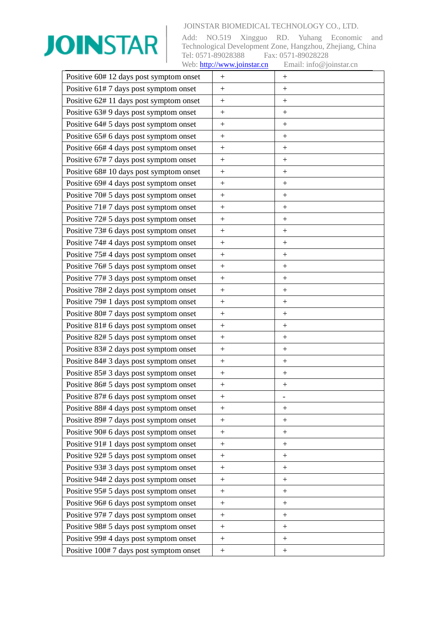

| Positive 60# 12 days post symptom onset | $+$              | $+$                |
|-----------------------------------------|------------------|--------------------|
| Positive 61#7 days post symptom onset   | $\ddot{}$        | $\! +$             |
| Positive 62#11 days post symptom onset  | $+$              | $\hspace{0.1mm} +$ |
| Positive 63# 9 days post symptom onset  | $+$              | $^{+}$             |
| Positive 64# 5 days post symptom onset  | $\boldsymbol{+}$ | $\! +$             |
| Positive 65# 6 days post symptom onset  | $+$              | $+$                |
| Positive 66#4 days post symptom onset   | $+$              | $^{+}$             |
| Positive 67#7 days post symptom onset   | $\ddot{}$        | $^{+}$             |
| Positive 68#10 days post symptom onset  | $^{+}$           | $^{+}$             |
| Positive 69# 4 days post symptom onset  | $^{+}$           | $^{+}$             |
| Positive 70# 5 days post symptom onset  | $\boldsymbol{+}$ | $\! +$             |
| Positive 71#7 days post symptom onset   | $^{+}$           | $^{+}$             |
| Positive 72# 5 days post symptom onset  | $^{+}$           | $^{+}$             |
| Positive 73# 6 days post symptom onset  | $+$              | $\hspace{0.1mm} +$ |
| Positive 74#4 days post symptom onset   | $\ddot{}$        | $^{+}$             |
| Positive 75#4 days post symptom onset   | $^{+}$           | $^{+}$             |
| Positive 76# 5 days post symptom onset  | $\ddot{}$        | $^{+}$             |
| Positive 77# 3 days post symptom onset  | $+$              | $\! +$             |
| Positive 78# 2 days post symptom onset  | $+$              | $\! +$             |
| Positive 79# 1 days post symptom onset  | $^{+}$           | $^{+}$             |
| Positive 80#7 days post symptom onset   | $\boldsymbol{+}$ | $^{+}$             |
| Positive 81# 6 days post symptom onset  | $^{+}$           | $^{+}$             |
| Positive 82# 5 days post symptom onset  | $+$              | $^{+}$             |
| Positive 83# 2 days post symptom onset  | $\boldsymbol{+}$ | $\! +$             |
| Positive 84# 3 days post symptom onset  | $^{+}$           | $^{+}$             |
| Positive 85# 3 days post symptom onset  | $+$              | $^{+}$             |
| Positive 86# 5 days post symptom onset  |                  | $^{+}$             |
| Positive 87# 6 days post symptom onset  | $^{+}$           |                    |
| Positive 88# 4 days post symptom onset  | $+$              | $\! +$             |
| Positive 89# 7 days post symptom onset  | $\boldsymbol{+}$ |                    |
| Positive 90# 6 days post symptom onset  | $^{+}$           | $^{+}$             |
| Positive 91# 1 days post symptom onset  | $\boldsymbol{+}$ | $\overline{+}$     |
| Positive 92# 5 days post symptom onset  | $\boldsymbol{+}$ | $^{+}$             |
| Positive 93# 3 days post symptom onset  | $^{+}$           |                    |
| Positive 94# 2 days post symptom onset  | $\overline{+}$   | $\overline{+}$     |
| Positive 95# 5 days post symptom onset  | $\boldsymbol{+}$ | $^{+}$             |
| Positive 96# 6 days post symptom onset  | $\boldsymbol{+}$ | $\! +$             |
| Positive 97# 7 days post symptom onset  | $+$              | $\! +$             |
| Positive 98# 5 days post symptom onset  | $\ddot{}$        | $^{+}$             |
| Positive 99# 4 days post symptom onset  | $\boldsymbol{+}$ |                    |
| Positive 100#7 days post symptom onset  | $\! +$           | $\overline{+}$     |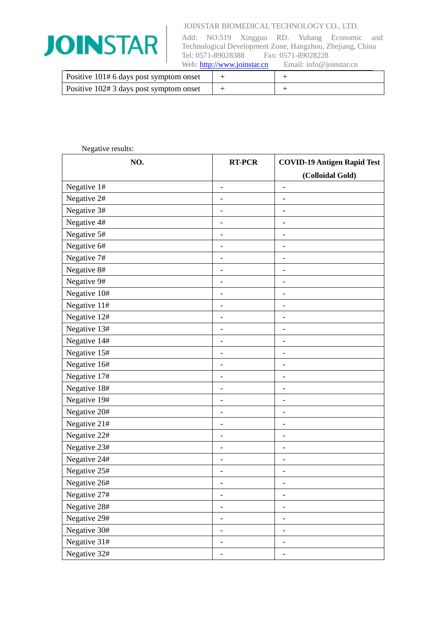

| Positive 101# 6 days post symptom onset |  |
|-----------------------------------------|--|
| Positive 102# 3 days post symptom onset |  |

| Negative results: |                          |                                                        |
|-------------------|--------------------------|--------------------------------------------------------|
| NO.               | <b>RT-PCR</b>            | <b>COVID-19 Antigen Rapid Test</b><br>(Colloidal Gold) |
| Negative 1#       | $\overline{\phantom{0}}$ | $\qquad \qquad -$                                      |
| Negative 2#       | $\overline{\phantom{0}}$ | $\overline{a}$                                         |
| Negative 3#       | -                        | $\qquad \qquad \blacksquare$                           |
| Negative 4#       | $\overline{a}$           | $\qquad \qquad -$                                      |
| Negative 5#       | $\overline{\phantom{0}}$ | $\overline{a}$                                         |
| Negative 6#       | $\overline{a}$           | $\overline{a}$                                         |
| Negative 7#       | $\overline{\phantom{0}}$ | $\qquad \qquad \blacksquare$                           |
| Negative 8#       | $\overline{\phantom{0}}$ | -                                                      |
| Negative 9#       |                          | $\overline{a}$                                         |
| Negative 10#      | $\overline{\phantom{0}}$ | $\qquad \qquad -$                                      |
| Negative 11#      | $\overline{\phantom{0}}$ |                                                        |
| Negative 12#      | $\overline{\phantom{0}}$ | $\overline{\phantom{0}}$                               |
| Negative 13#      | $\qquad \qquad -$        | $\overline{\phantom{0}}$                               |
| Negative 14#      | -                        | -                                                      |
| Negative 15#      |                          | -                                                      |
| Negative 16#      | $\overline{\phantom{0}}$ | $\overline{\phantom{a}}$                               |
| Negative 17#      | $\overline{\phantom{0}}$ | $\overline{a}$                                         |
| Negative 18#      | $\overline{\phantom{0}}$ | $\overline{a}$                                         |
| Negative 19#      | -                        | $\overline{\phantom{a}}$                               |
| Negative 20#      | -                        | $\qquad \qquad$                                        |
| Negative 21#      | $\qquad \qquad -$        | $\overline{\phantom{0}}$                               |
| Negative 22#      | -                        | $\qquad \qquad \blacksquare$                           |
| Negative 23#      | ۰                        | $\qquad \qquad -$                                      |
| Negative 24#      | -                        | $\overline{a}$                                         |
| Negative 25#      |                          |                                                        |
| Negative 26#      |                          |                                                        |
| Negative 27#      | -                        |                                                        |
| Negative 28#      |                          |                                                        |
| Negative 29#      | $\overline{\phantom{0}}$ | -                                                      |
| Negative 30#      | -                        | -                                                      |
| Negative 31#      |                          |                                                        |
| Negative 32#      | $\overline{\phantom{0}}$ | $\overline{\phantom{a}}$                               |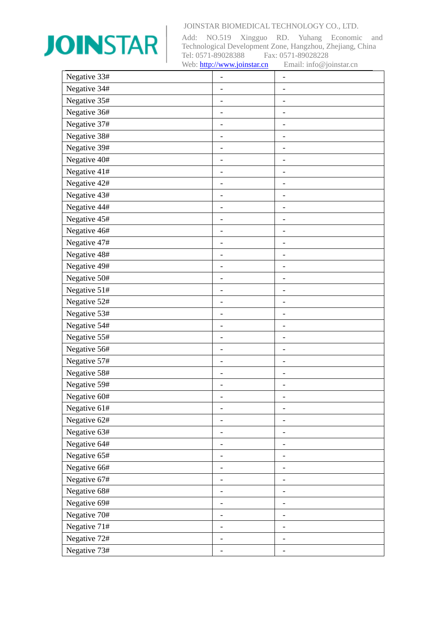

| Negative 33# | $\overline{\phantom{0}}$ | $\overline{\phantom{0}}$     |
|--------------|--------------------------|------------------------------|
| Negative 34# | $\overline{\phantom{0}}$ | $\overline{\phantom{a}}$     |
| Negative 35# | $\overline{\phantom{0}}$ | $\qquad \qquad \blacksquare$ |
| Negative 36# | $\overline{\phantom{0}}$ | $\overline{\phantom{a}}$     |
| Negative 37# |                          |                              |
| Negative 38# | $\overline{\phantom{0}}$ | $\overline{\phantom{0}}$     |
| Negative 39# | $\overline{\phantom{0}}$ | $\overline{\phantom{0}}$     |
| Negative 40# | $\overline{\phantom{0}}$ | $\overline{\phantom{a}}$     |
| Negative 41# | $\overline{\phantom{0}}$ | $\qquad \qquad \blacksquare$ |
| Negative 42# | $\overline{\phantom{0}}$ | $\overline{\phantom{0}}$     |
| Negative 43# | -                        | $\overline{\phantom{0}}$     |
| Negative 44# | $\qquad \qquad -$        | $\overline{\phantom{0}}$     |
| Negative 45# | $\overline{\phantom{0}}$ | $\overline{\phantom{a}}$     |
| Negative 46# | -                        | $\overline{\phantom{0}}$     |
| Negative 47# | $\overline{\phantom{0}}$ | $\qquad \qquad \blacksquare$ |
| Negative 48# |                          |                              |
| Negative 49# | $\overline{\phantom{0}}$ | $\overline{\phantom{0}}$     |
| Negative 50# |                          |                              |
| Negative 51# |                          |                              |
| Negative 52# | $\qquad \qquad -$        | $\overline{\phantom{0}}$     |
| Negative 53# | -                        | $\overline{\phantom{a}}$     |
| Negative 54# |                          |                              |
| Negative 55# | $\overline{\phantom{0}}$ | $\overline{\phantom{a}}$     |
| Negative 56# |                          | $\overline{\phantom{a}}$     |
| Negative 57# | $\overline{\phantom{0}}$ |                              |
| Negative 58# | -                        | $\overline{\phantom{0}}$     |
| Negative 59# |                          |                              |
| Negative 60# |                          |                              |
| Negative 61# | $\overline{\phantom{0}}$ | $\overline{\phantom{a}}$     |
| Negative 62# |                          |                              |
| Negative 63# | -                        | -                            |
| Negative 64# |                          |                              |
| Negative 65# | -                        | -                            |
| Negative 66# | -                        | $\overline{\phantom{a}}$     |
| Negative 67# | L,                       |                              |
| Negative 68# | -                        | -                            |
| Negative 69# | -                        |                              |
| Negative 70# |                          |                              |
| Negative 71# | $\qquad \qquad -$        | $\overline{\phantom{0}}$     |
| Negative 72# | -                        | -                            |
| Negative 73# |                          |                              |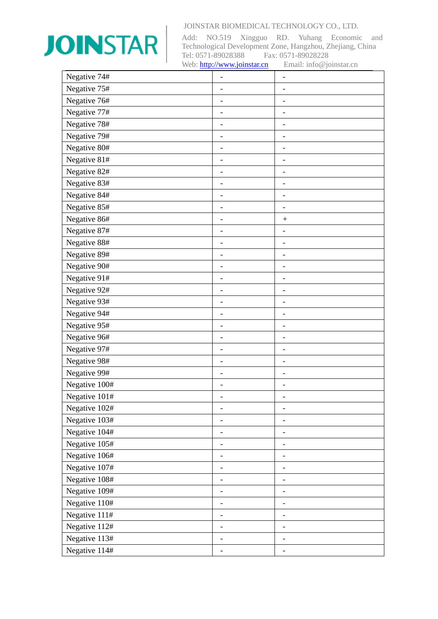

| Negative 74#  | -                            | $\overline{\phantom{a}}$     |
|---------------|------------------------------|------------------------------|
| Negative 75#  | $\overline{\phantom{a}}$     |                              |
| Negative 76#  | $\overline{\phantom{0}}$     | $\overline{a}$               |
| Negative 77#  |                              |                              |
| Negative 78#  | $\overline{\phantom{0}}$     | $\overline{\phantom{0}}$     |
| Negative 79#  | $\qquad \qquad -$            | $\qquad \qquad -$            |
| Negative 80#  | -                            | $\overline{\phantom{a}}$     |
| Negative 81#  | $\overline{\phantom{0}}$     | $\qquad \qquad \blacksquare$ |
| Negative 82#  | $\overline{\phantom{0}}$     | $\overline{a}$               |
| Negative 83#  | $\overline{\phantom{0}}$     | $\qquad \qquad -$            |
| Negative 84#  | $\overline{\phantom{0}}$     | $\overline{\phantom{0}}$     |
| Negative 85#  | $\overline{\phantom{0}}$     | $\overline{a}$               |
| Negative 86#  |                              | $^{+}$                       |
| Negative 87#  | $\overline{\phantom{0}}$     | $\qquad \qquad \blacksquare$ |
| Negative 88#  | -                            | $\overline{\phantom{a}}$     |
| Negative 89#  |                              | $\qquad \qquad \blacksquare$ |
| Negative 90#  | $\overline{\phantom{0}}$     | $\overline{\phantom{0}}$     |
| Negative 91#  | $\qquad \qquad -$            | $\overline{a}$               |
| Negative 92#  |                              | $\overline{a}$               |
| Negative 93#  | -                            | $\overline{\phantom{a}}$     |
| Negative 94#  | $\overline{\phantom{0}}$     | $\qquad \qquad$              |
| Negative 95#  | $\overline{\phantom{0}}$     | $\overline{\phantom{m}}$     |
| Negative 96#  | -                            | $\qquad \qquad \blacksquare$ |
| Negative 97#  | ۳                            | $\overline{\phantom{0}}$     |
| Negative 98#  | $\overline{\phantom{0}}$     | $\qquad \qquad \blacksquare$ |
| Negative 99#  | $\overline{\phantom{0}}$     | $\overline{a}$               |
| Negative 100# |                              | -                            |
| Negative 101# |                              |                              |
| Negative 102# | $\overline{\phantom{0}}$     | $\overline{\phantom{0}}$     |
| Negative 103# | $\overline{\phantom{0}}$     | $\overline{\phantom{0}}$     |
| Negative 104# | -                            | -                            |
| Negative 105# |                              |                              |
| Negative 106# | $\qquad \qquad \blacksquare$ | $\overline{\phantom{0}}$     |
| Negative 107# | $\overline{\phantom{0}}$     | $\overline{\phantom{0}}$     |
| Negative 108# |                              | -                            |
| Negative 109# | -                            | $\overline{\phantom{0}}$     |
| Negative 110# |                              | $\qquad \qquad -$            |
| Negative 111# |                              |                              |
| Negative 112# | -                            | $\overline{\phantom{0}}$     |
| Negative 113# | $\overline{\phantom{a}}$     | $\overline{\phantom{0}}$     |
| Negative 114# |                              |                              |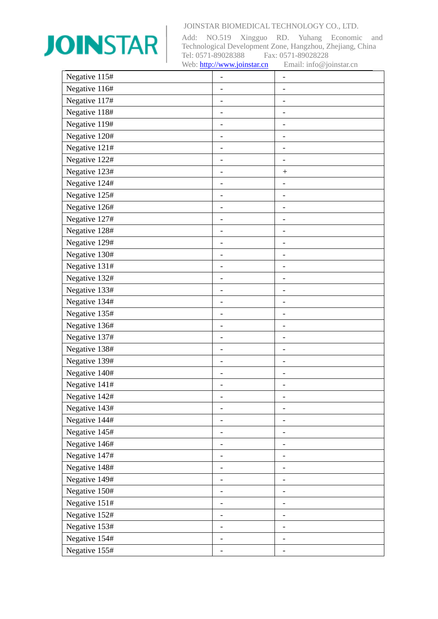

| Negative 115# |                              | -                        |
|---------------|------------------------------|--------------------------|
| Negative 116# | -                            |                          |
| Negative 117# |                              | -                        |
| Negative 118# | $\overline{\phantom{0}}$     |                          |
| Negative 119# |                              |                          |
| Negative 120# | $\overline{\phantom{0}}$     | -                        |
| Negative 121# | -                            | -                        |
| Negative 122# | $\overline{\phantom{0}}$     |                          |
| Negative 123# | $\overline{\phantom{0}}$     | $\ddot{}$                |
| Negative 124# | -                            | -                        |
| Negative 125# | -                            | $\overline{\phantom{0}}$ |
| Negative 126# | $\qquad \qquad -$            | $\overline{a}$           |
| Negative 127# |                              |                          |
| Negative 128# | $\overline{\phantom{0}}$     | -                        |
| Negative 129# | $\overline{\phantom{0}}$     | -                        |
| Negative 130# |                              |                          |
| Negative 131# | $\overline{\phantom{0}}$     | $\overline{\phantom{0}}$ |
| Negative 132# |                              |                          |
| Negative 133# |                              |                          |
| Negative 134# | $\qquad \qquad \blacksquare$ | $\overline{\phantom{0}}$ |
| Negative 135# | -                            | -                        |
| Negative 136# |                              |                          |
| Negative 137# | $\overline{\phantom{0}}$     | $\overline{\phantom{0}}$ |
| Negative 138# |                              |                          |
| Negative 139# | $\overline{\phantom{0}}$     |                          |
| Negative 140# | -                            | -                        |
| Negative 141# |                              |                          |
| Negative 142# |                              |                          |
| Negative 143# | $\overline{\phantom{0}}$     | -                        |
| Negative 144# |                              |                          |
| Negative 145# | -                            | -                        |
| Negative 146# |                              |                          |
| Negative 147# | $\overline{\phantom{0}}$     | -                        |
| Negative 148# | -                            | $\overline{a}$           |
| Negative 149# |                              |                          |
| Negative 150# | -                            | -                        |
| Negative 151# | $\overline{\phantom{0}}$     |                          |
| Negative 152# |                              |                          |
| Negative 153# | $\overline{\phantom{0}}$     | $\overline{\phantom{0}}$ |
| Negative 154# | -                            | -                        |
| Negative 155# |                              |                          |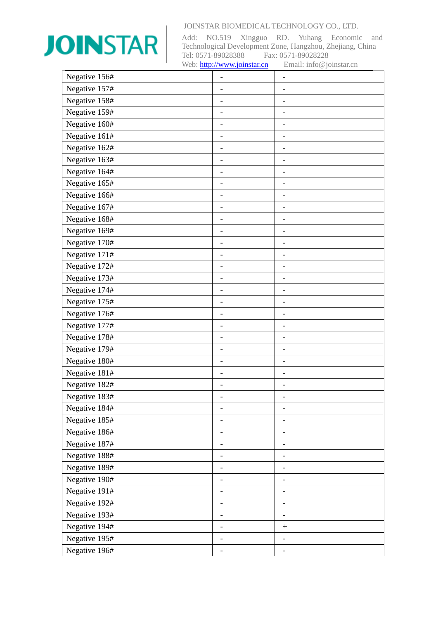

| Negative 156# |                              |                              |
|---------------|------------------------------|------------------------------|
| Negative 157# |                              |                              |
| Negative 158# |                              | -                            |
| Negative 159# |                              |                              |
| Negative 160# |                              |                              |
| Negative 161# |                              | $\overline{\phantom{a}}$     |
| Negative 162# |                              | $\overline{\phantom{a}}$     |
| Negative 163# | $\overline{\phantom{0}}$     |                              |
| Negative 164# | $\qquad \qquad -$            | $\qquad \qquad \blacksquare$ |
| Negative 165# |                              |                              |
| Negative 166# |                              |                              |
| Negative 167# | $\qquad \qquad \blacksquare$ | $\overline{\phantom{a}}$     |
| Negative 168# |                              |                              |
| Negative 169# | -                            | $\overline{\phantom{0}}$     |
| Negative 170# | $\qquad \qquad -$            | $\overline{\phantom{a}}$     |
| Negative 171# |                              |                              |
| Negative 172# | $\qquad \qquad -$            | $\qquad \qquad \blacksquare$ |
| Negative 173# |                              |                              |
| Negative 174# |                              |                              |
| Negative 175# | $\qquad \qquad \blacksquare$ | $\qquad \qquad -$            |
| Negative 176# | -                            | $\qquad \qquad$              |
| Negative 177# |                              |                              |
| Negative 178# | $\qquad \qquad -$            | $\overline{\phantom{a}}$     |
| Negative 179# |                              |                              |
| Negative 180# | $\overline{\phantom{0}}$     |                              |
| Negative 181# | $\overline{\phantom{0}}$     |                              |
| Negative 182# |                              |                              |
| Negative 183# |                              |                              |
| Negative 184# | $\overline{\phantom{0}}$     | $\overline{\phantom{a}}$     |
| Negative 185# |                              |                              |
| Negative 186# | -                            | -                            |
| Negative 187# |                              |                              |
| Negative 188# | -                            | -                            |
| Negative 189# | -                            | $\overline{\phantom{a}}$     |
| Negative 190# |                              |                              |
| Negative 191# | -                            | -                            |
| Negative 192# | -                            | -                            |
| Negative 193# |                              |                              |
| Negative 194# | $\overline{\phantom{0}}$     |                              |
| Negative 195# | -                            | $\overline{\phantom{a}}$     |
| Negative 196# |                              |                              |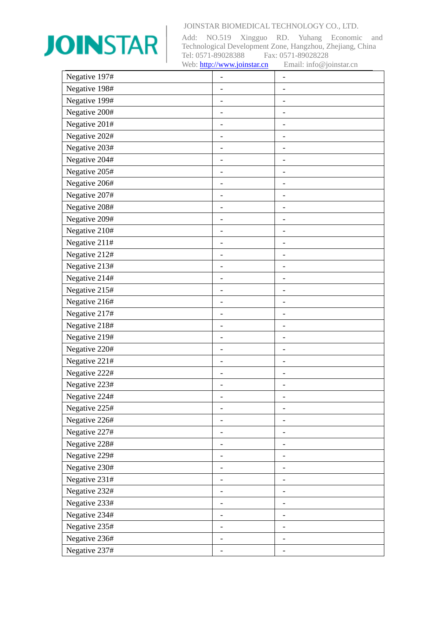

| Negative 197# |                          |                              |
|---------------|--------------------------|------------------------------|
| Negative 198# |                          | $\overline{\phantom{0}}$     |
| Negative 199# |                          | $\qquad \qquad \blacksquare$ |
| Negative 200# |                          |                              |
| Negative 201# |                          |                              |
| Negative 202# |                          | $\qquad \qquad \blacksquare$ |
| Negative 203# |                          | $\qquad \qquad \blacksquare$ |
| Negative 204# |                          |                              |
| Negative 205# | -                        | $\overline{\phantom{0}}$     |
| Negative 206# |                          |                              |
| Negative 207# |                          | $\overline{\phantom{0}}$     |
| Negative 208# | -                        | $\overline{a}$               |
| Negative 209# |                          | $\overline{\phantom{a}}$     |
| Negative 210# | -                        | -                            |
| Negative 211# | -                        | $\overline{a}$               |
| Negative 212# |                          |                              |
| Negative 213# | -                        | $\overline{a}$               |
| Negative 214# |                          |                              |
| Negative 215# |                          |                              |
| Negative 216# | $\overline{\phantom{0}}$ | $\overline{\phantom{0}}$     |
| Negative 217# |                          | -                            |
| Negative 218# |                          |                              |
| Negative 219# | -                        | $\qquad \qquad -$            |
| Negative 220# |                          | $\overline{a}$               |
| Negative 221# |                          | $\overline{a}$               |
| Negative 222# | -                        | $\overline{a}$               |
| Negative 223# |                          |                              |
| Negative 224# |                          |                              |
| Negative 225# | -                        | $\qquad \qquad \blacksquare$ |
| Negative 226# |                          |                              |
| Negative 227# | ۰                        | -                            |
| Negative 228# |                          |                              |
| Negative 229# |                          | -                            |
| Negative 230# | -                        | -                            |
| Negative 231# |                          |                              |
| Negative 232# | -                        | -                            |
| Negative 233# | -                        | -                            |
| Negative 234# |                          |                              |
| Negative 235# | -                        | $\overline{\phantom{0}}$     |
| Negative 236# | ۰                        | $\overline{\phantom{a}}$     |
| Negative 237# |                          |                              |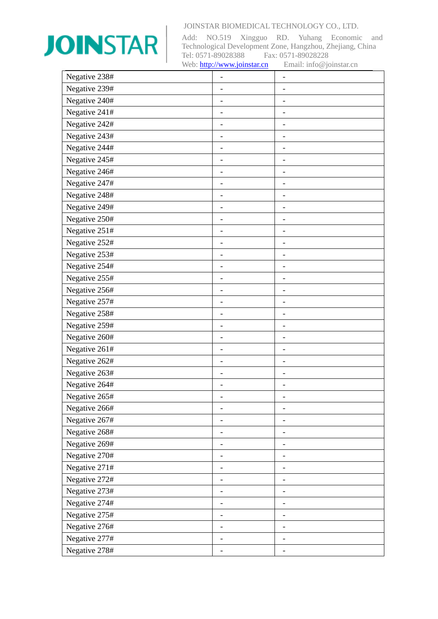

| Negative 238# |                          |                              |
|---------------|--------------------------|------------------------------|
| Negative 239# |                          | $\overline{\phantom{0}}$     |
| Negative 240# |                          | $\qquad \qquad \blacksquare$ |
| Negative 241# |                          |                              |
| Negative 242# |                          |                              |
| Negative 243# |                          | $\qquad \qquad \blacksquare$ |
| Negative 244# |                          | $\qquad \qquad \blacksquare$ |
| Negative 245# |                          |                              |
| Negative 246# | -                        | $\overline{\phantom{0}}$     |
| Negative 247# |                          |                              |
| Negative 248# |                          | $\overline{\phantom{0}}$     |
| Negative 249# | -                        | $\overline{a}$               |
| Negative 250# |                          | $\overline{\phantom{a}}$     |
| Negative 251# | -                        | -                            |
| Negative 252# | -                        | $\overline{a}$               |
| Negative 253# |                          |                              |
| Negative 254# | -                        | $\overline{a}$               |
| Negative 255# |                          |                              |
| Negative 256# |                          |                              |
| Negative 257# | $\overline{\phantom{0}}$ | $\overline{\phantom{0}}$     |
| Negative 258# |                          | $\overline{\phantom{a}}$     |
| Negative 259# |                          |                              |
| Negative 260# | -                        | $\overline{\phantom{0}}$     |
| Negative 261# |                          | $\overline{a}$               |
| Negative 262# |                          |                              |
| Negative 263# | -                        | $\qquad \qquad \blacksquare$ |
| Negative 264# |                          |                              |
| Negative 265# |                          |                              |
| Negative 266# | -                        | $\overline{\phantom{a}}$     |
| Negative 267# |                          |                              |
| Negative 268# | ۰                        | -                            |
| Negative 269# |                          |                              |
| Negative 270# |                          | -                            |
| Negative 271# | -                        | -                            |
| Negative 272# |                          |                              |
| Negative 273# |                          | -                            |
| Negative 274# | -                        |                              |
| Negative 275# |                          |                              |
| Negative 276# | -                        | $\overline{\phantom{0}}$     |
| Negative 277# | ۰                        | -                            |
| Negative 278# |                          |                              |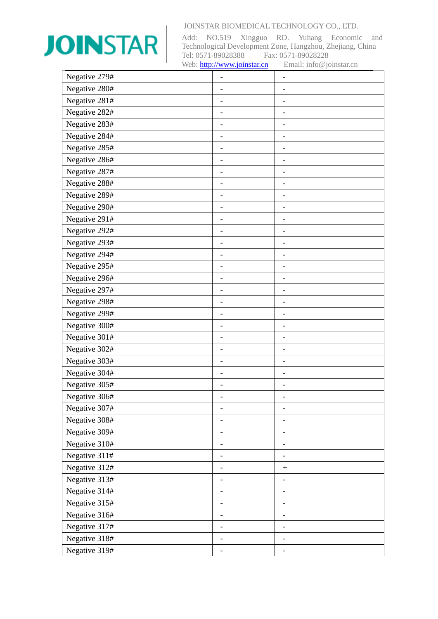

| Negative 279# |                              |                              |
|---------------|------------------------------|------------------------------|
| Negative 280# |                              |                              |
| Negative 281# |                              | $\qquad \qquad \blacksquare$ |
| Negative 282# |                              |                              |
| Negative 283# |                              |                              |
| Negative 284# |                              | $\overline{\phantom{a}}$     |
| Negative 285# |                              | $\overline{\phantom{a}}$     |
| Negative 286# | $\overline{\phantom{0}}$     |                              |
| Negative 287# | $\overline{\phantom{0}}$     | $\qquad \qquad \blacksquare$ |
| Negative 288# |                              |                              |
| Negative 289# |                              |                              |
| Negative 290# | $\qquad \qquad \blacksquare$ | $\overline{\phantom{a}}$     |
| Negative 291# |                              |                              |
| Negative 292# | -                            | -                            |
| Negative 293# | $\overline{\phantom{0}}$     | $\qquad \qquad \blacksquare$ |
| Negative 294# |                              |                              |
| Negative 295# | $\overline{\phantom{0}}$     | $\qquad \qquad \blacksquare$ |
| Negative 296# |                              |                              |
| Negative 297# |                              |                              |
| Negative 298# | $\qquad \qquad \blacksquare$ | $\qquad \qquad -$            |
| Negative 299# | -                            | $\overline{\phantom{a}}$     |
| Negative 300# |                              |                              |
| Negative 301# | $\overline{\phantom{0}}$     | $\qquad \qquad -$            |
| Negative 302# |                              |                              |
| Negative 303# | $\overline{\phantom{0}}$     |                              |
| Negative 304# | $\overline{\phantom{0}}$     |                              |
| Negative 305# |                              |                              |
| Negative 306# |                              |                              |
| Negative 307# | $\overline{\phantom{0}}$     | $\qquad \qquad \blacksquare$ |
| Negative 308# |                              |                              |
| Negative 309# | $\overline{a}$               | -                            |
| Negative 310# |                              |                              |
| Negative 311# | -                            |                              |
| Negative 312# | -                            | $^{+}$                       |
| Negative 313# |                              |                              |
| Negative 314# | -                            | -                            |
| Negative 315# | -                            |                              |
| Negative 316# |                              |                              |
| Negative 317# | -                            | $\overline{\phantom{0}}$     |
| Negative 318# | -                            | $\overline{\phantom{a}}$     |
| Negative 319# |                              |                              |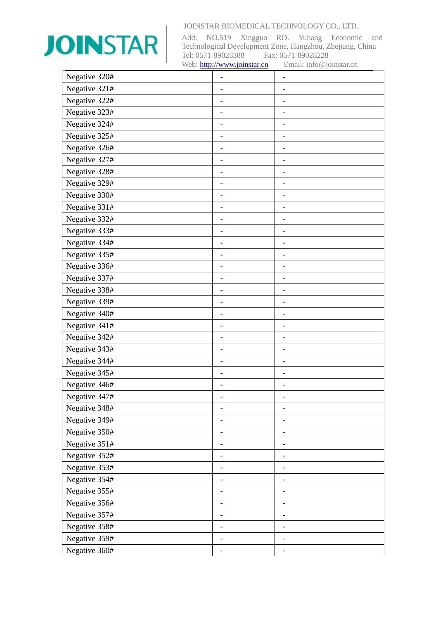

| Negative 320# |                          |                              |
|---------------|--------------------------|------------------------------|
| Negative 321# |                          |                              |
| Negative 322# |                          |                              |
| Negative 323# |                          |                              |
| Negative 324# |                          |                              |
| Negative 325# |                          | $\overline{\phantom{a}}$     |
| Negative 326# | $\overline{\phantom{0}}$ | $\overline{\phantom{a}}$     |
| Negative 327# |                          |                              |
| Negative 328# | $\overline{\phantom{0}}$ | $\qquad \qquad \blacksquare$ |
| Negative 329# |                          |                              |
| Negative 330# |                          |                              |
| Negative 331# | $\qquad \qquad -$        | $\overline{\phantom{0}}$     |
| Negative 332# |                          |                              |
| Negative 333# | -                        | -                            |
| Negative 334# | $\overline{\phantom{0}}$ | $\qquad \qquad \blacksquare$ |
| Negative 335# |                          |                              |
| Negative 336# | $\overline{\phantom{0}}$ | $\overline{\phantom{0}}$     |
| Negative 337# |                          |                              |
| Negative 338# |                          |                              |
| Negative 339# | $\qquad \qquad -$        | $\qquad \qquad -$            |
| Negative 340# | -                        | $\overline{\phantom{a}}$     |
| Negative 341# |                          |                              |
| Negative 342# | $\overline{\phantom{0}}$ | $\qquad \qquad -$            |
| Negative 343# |                          |                              |
| Negative 344# | $\qquad \qquad -$        |                              |
| Negative 345# | $\overline{\phantom{0}}$ |                              |
| Negative 346# |                          |                              |
| Negative 347# |                          |                              |
| Negative 348# | $\overline{\phantom{0}}$ | $\overline{\phantom{a}}$     |
| Negative 349# |                          |                              |
| Negative 350# | $\overline{a}$           | $\qquad \qquad$              |
| Negative 351# |                          |                              |
| Negative 352# | -                        |                              |
| Negative 353# | -                        | -                            |
| Negative 354# |                          |                              |
| Negative 355# | -                        | -                            |
| Negative 356# | -                        |                              |
| Negative 357# |                          |                              |
| Negative 358# | -                        | $\overline{\phantom{0}}$     |
| Negative 359# | -                        | -                            |
| Negative 360# |                          |                              |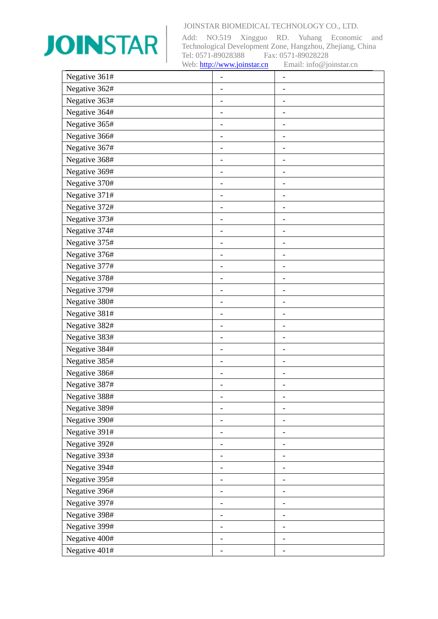

| Negative 361# |                          |                              |
|---------------|--------------------------|------------------------------|
| Negative 362# |                          |                              |
| Negative 363# |                          |                              |
| Negative 364# |                          |                              |
| Negative 365# |                          |                              |
| Negative 366# |                          | $\qquad \qquad \blacksquare$ |
| Negative 367# |                          | $\overline{\phantom{a}}$     |
| Negative 368# | $\overline{\phantom{0}}$ |                              |
| Negative 369# | $\qquad \qquad -$        | $\qquad \qquad \blacksquare$ |
| Negative 370# |                          |                              |
| Negative 371# |                          |                              |
| Negative 372# | $\overline{a}$           | $\overline{\phantom{a}}$     |
| Negative 373# |                          |                              |
| Negative 374# | -                        | -                            |
| Negative 375# | $\qquad \qquad -$        | $\overline{\phantom{a}}$     |
| Negative 376# |                          |                              |
| Negative 377# | $\qquad \qquad -$        | $\overline{\phantom{a}}$     |
| Negative 378# |                          |                              |
| Negative 379# |                          |                              |
| Negative 380# | $\overline{a}$           | $\qquad \qquad -$            |
| Negative 381# | -                        | $\qquad \qquad$              |
| Negative 382# |                          |                              |
| Negative 383# | $\qquad \qquad -$        | $\overline{\phantom{a}}$     |
| Negative 384# |                          |                              |
| Negative 385# | $\overline{a}$           |                              |
| Negative 386# | $\overline{\phantom{0}}$ |                              |
| Negative 387# |                          |                              |
| Negative 388# |                          |                              |
| Negative 389# | $\overline{\phantom{0}}$ | $\overline{\phantom{a}}$     |
| Negative 390# |                          |                              |
| Negative 391# | -                        | -                            |
| Negative 392# |                          |                              |
| Negative 393# | -                        | -                            |
| Negative 394# | -                        | $\overline{\phantom{a}}$     |
| Negative 395# |                          |                              |
| Negative 396# | -                        | -                            |
| Negative 397# | -                        |                              |
| Negative 398# |                          |                              |
| Negative 399# | $\overline{\phantom{0}}$ | $\overline{\phantom{0}}$     |
| Negative 400# | -                        | $\overline{\phantom{a}}$     |
| Negative 401# |                          |                              |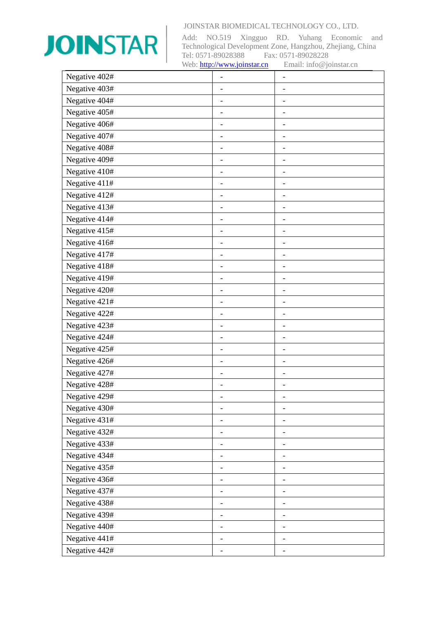

| Negative 402# | $\overline{\phantom{0}}$     | -                        |
|---------------|------------------------------|--------------------------|
| Negative 403# |                              |                          |
| Negative 404# |                              |                          |
| Negative 405# | $\qquad \qquad -$            |                          |
| Negative 406# | $\qquad \qquad \blacksquare$ |                          |
| Negative 407# | -                            |                          |
| Negative 408# | $\qquad \qquad -$            |                          |
| Negative 409# |                              |                          |
| Negative 410# | $\qquad \qquad \blacksquare$ | $\overline{a}$           |
| Negative 411# |                              |                          |
| Negative 412# | -                            |                          |
| Negative 413# | $\overline{\phantom{0}}$     | $\overline{a}$           |
| Negative 414# |                              |                          |
| Negative 415# | $\overline{\phantom{0}}$     | -                        |
| Negative 416# |                              |                          |
| Negative 417# |                              |                          |
| Negative 418# | $\qquad \qquad \blacksquare$ | $\overline{a}$           |
| Negative 419# | -                            |                          |
| Negative 420# |                              |                          |
| Negative 421# | $\overline{\phantom{0}}$     | $\qquad \qquad -$        |
| Negative 422# |                              |                          |
| Negative 423# |                              |                          |
| Negative 424# | -                            | -                        |
| Negative 425# | $\overline{a}$               |                          |
| Negative 426# | $\qquad \qquad -$            | $\overline{\phantom{0}}$ |
| Negative 427# | -                            | -                        |
| Negative 428# |                              |                          |
| Negative 429# |                              |                          |
| Negative 430# | $\overline{\phantom{m}}$     | -                        |
| Negative 431# |                              |                          |
| Negative 432# |                              |                          |
| Negative 433# |                              |                          |
| Negative 434# | -                            |                          |
| Negative 435# | $\qquad \qquad -$            |                          |
| Negative 436# |                              |                          |
| Negative 437# | $\overline{\phantom{0}}$     | -                        |
| Negative 438# | -                            | -                        |
| Negative 439# |                              |                          |
| Negative 440# | $\overline{\phantom{m}}$     | -                        |
| Negative 441# |                              | $\qquad \qquad -$        |
| Negative 442# |                              |                          |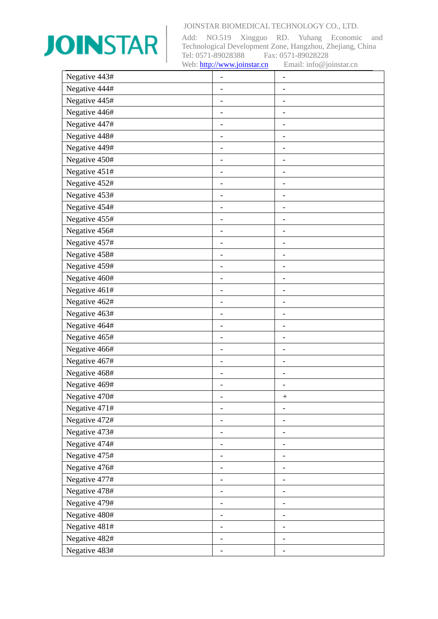

| Negative 443# | $\overline{a}$               | $\qquad \qquad -$            |
|---------------|------------------------------|------------------------------|
| Negative 444# |                              |                              |
| Negative 445# |                              |                              |
| Negative 446# | $\overline{\phantom{0}}$     | $\overline{\phantom{0}}$     |
| Negative 447# | $\overline{\phantom{0}}$     | $\overline{\phantom{a}}$     |
| Negative 448# | $\overline{\phantom{0}}$     | $\qquad \qquad \blacksquare$ |
| Negative 449# | $\overline{\phantom{0}}$     | $\overline{\phantom{a}}$     |
| Negative 450# |                              |                              |
| Negative 451# | $\qquad \qquad \blacksquare$ | $\qquad \qquad -$            |
| Negative 452# |                              |                              |
| Negative 453# | -                            | $\qquad \qquad -$            |
| Negative 454# | $\overline{\phantom{0}}$     | $\qquad \qquad \blacksquare$ |
| Negative 455# |                              |                              |
| Negative 456# | $\overline{\phantom{0}}$     | $\qquad \qquad \blacksquare$ |
| Negative 457# |                              |                              |
| Negative 458# |                              |                              |
| Negative 459# | $\qquad \qquad \blacksquare$ | $\qquad \qquad -$            |
| Negative 460# | -                            | $\qquad \qquad$              |
| Negative 461# |                              |                              |
| Negative 462# | $\overline{\phantom{0}}$     | $\qquad \qquad -$            |
| Negative 463# |                              |                              |
| Negative 464# |                              |                              |
| Negative 465# | -                            | $\overline{\phantom{a}}$     |
| Negative 466# | $\overline{a}$               | $\overline{\phantom{0}}$     |
| Negative 467# | $\qquad \qquad -$            | $\overline{\phantom{0}}$     |
| Negative 468# | $\overline{\phantom{0}}$     | $\overline{\phantom{a}}$     |
| Negative 469# |                              |                              |
| Negative 470# |                              |                              |
| Negative 471# | $\overline{\phantom{0}}$     | $\overline{\phantom{0}}$     |
| Negative 472# |                              |                              |
| Negative 473# | -                            |                              |
| Negative 474# |                              |                              |
| Negative 475# | -                            | -                            |
| Negative 476# | -                            | $\overline{\phantom{a}}$     |
| Negative 477# |                              |                              |
| Negative 478# | $\overline{\phantom{0}}$     | $\overline{\phantom{0}}$     |
| Negative 479# | -                            | -                            |
| Negative 480# |                              |                              |
| Negative 481# | $\overline{\phantom{0}}$     | $\overline{\phantom{0}}$     |
| Negative 482# |                              | $\overline{\phantom{0}}$     |
| Negative 483# |                              |                              |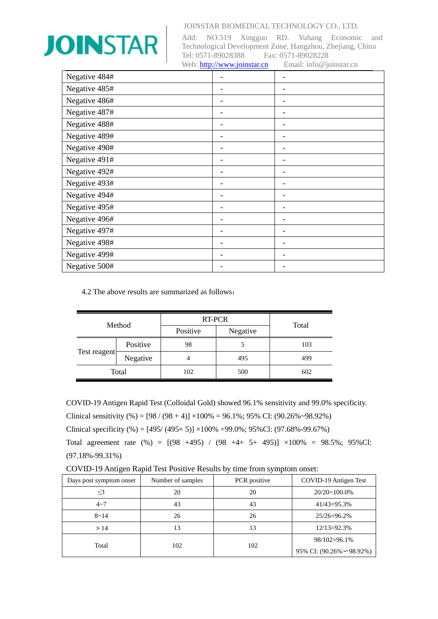

Add: NO.519 Xingguo RD. Yuhang Economic and Technological Development Zone, Hangzhou, Zhejiang, China Tel: 0571-89028388 Fax: 0571-89028228 Web[: http://www.joinstar.cn](http://www.joinstar.cn/) Email: info@joinstar.cn

| Negative 484# |   |
|---------------|---|
| Negative 485# |   |
| Negative 486# |   |
| Negative 487# |   |
| Negative 488# |   |
| Negative 489# |   |
| Negative 490# |   |
| Negative 491# |   |
| Negative 492# | - |
| Negative 493# |   |
| Negative 494# |   |
| Negative 495# |   |
| Negative 496# |   |
| Negative 497# |   |
| Negative 498# |   |
| Negative 499# |   |
| Negative 500# |   |

4.2 The above results are summarized as follows:

| Method       |          | RT-PCR   |          |       |
|--------------|----------|----------|----------|-------|
|              |          | Positive | Negative | Total |
| Test reagent | Positive | 98       |          | 103   |
|              | Negative |          | 495      | 499   |
|              | Total    | 102      | 500      | 602   |

COVID-19 Antigen Rapid Test (Colloidal Gold) showed 96.1% sensitivity and 99.0% specificity. Clinical sensitivity  $%$  (98 / (98 + 4)]  $\times100\%$  = 96.1%; 95% CI: (90.26%~98.92%)

Clinical specificity (%) =  $[495/(495+5)] \times 100\% = 99.0\%$ ; 95%Cl: (97.68%-99.67%)

Total agreement rate  $(\%) = [(98 +495) / (98 +4+ 5+ 495)] \times 100\% = 98.5\%; 95\%$ Cl: (97.18%-99.31%)

COVID-19 Antigen Rapid Test Positive Results by time from symptom onset:

| Days post symptom onset | Number of samples | PCR positive | COVID-19 Antigen Test            |
|-------------------------|-------------------|--------------|----------------------------------|
| $\leq$ 3                | 20                | 20           | $20/20=100.0\%$                  |
| $4 - 7$                 | 43                | 43           | $41/43 = 95.3%$                  |
| $8 - 14$                | 26                | 26           | $25/26 = 96.2\%$                 |
| >14                     | 13                | 13           | $12/13 = 92.3%$                  |
| Total                   |                   | 102          | $98/102=96.1\%$                  |
|                         | 102               |              | 95% CI: $(90.26\% \sim 98.92\%)$ |